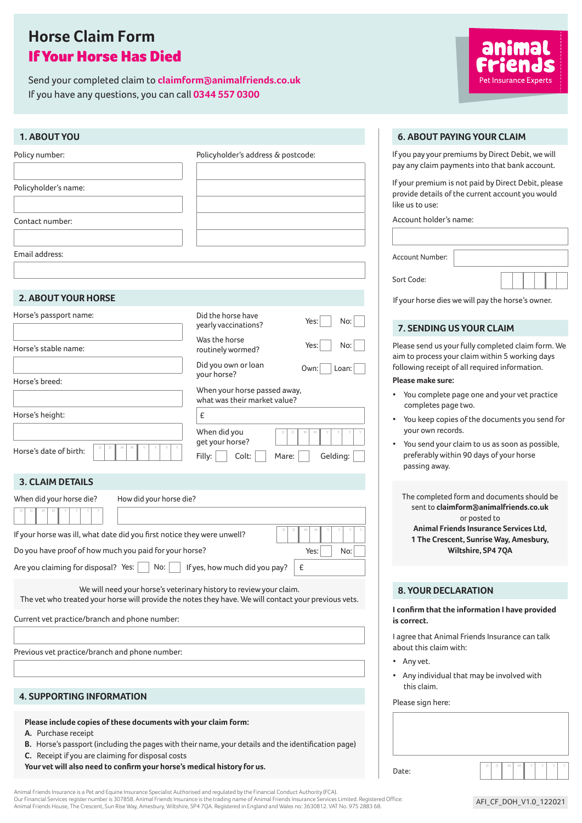## **Horse Claim Form** If Your Horse Has Died

Send your completed claim to **claimform@animalfriends.co.uk**  If you have any questions, you can call **0344 557 0300**



| <b>1. ABOUT YOU</b>                                                                                                                        |                                                                                                                                                                            | <b>6. ABOUT PAYING YOUR CLAIM</b>                                                                                               |  |
|--------------------------------------------------------------------------------------------------------------------------------------------|----------------------------------------------------------------------------------------------------------------------------------------------------------------------------|---------------------------------------------------------------------------------------------------------------------------------|--|
| Policy number:                                                                                                                             | Policyholder's address & postcode:                                                                                                                                         | If you pay your premiums by Direct Debit, we will<br>pay any claim payments into that bank account.                             |  |
| Policyholder's name:                                                                                                                       |                                                                                                                                                                            | If your premium is not paid by Direct Debit, please<br>provide details of the current account you would<br>like us to use:      |  |
| Contact number:                                                                                                                            |                                                                                                                                                                            | Account holder's name:                                                                                                          |  |
| Email address:                                                                                                                             |                                                                                                                                                                            | Account Number:                                                                                                                 |  |
|                                                                                                                                            |                                                                                                                                                                            | Sort Code:                                                                                                                      |  |
| <b>2. ABOUT YOUR HORSE</b>                                                                                                                 |                                                                                                                                                                            | If your horse dies we will pay the horse's owner.                                                                               |  |
| Horse's passport name:                                                                                                                     | Did the horse have<br>Yes:<br>No:<br>yearly vaccinations?                                                                                                                  | 7. SENDING US YOUR CLAIM                                                                                                        |  |
| Horse's stable name:                                                                                                                       | Was the horse<br>No:<br>Yes:<br>routinely wormed?                                                                                                                          | Please send us your fully completed claim form. We                                                                              |  |
|                                                                                                                                            | Did you own or loan<br>Own:<br>Loan:<br>your horse?                                                                                                                        | aim to process your claim within 5 working days<br>following receipt of all required information.<br>Please make sure:          |  |
| Horse's breed:                                                                                                                             | When your horse passed away,<br>what was their market value?                                                                                                               | You complete page one and your vet practice                                                                                     |  |
| Horse's height:                                                                                                                            | £                                                                                                                                                                          | completes page two.<br>You keep copies of the documents you send for                                                            |  |
| Horse's date of birth:                                                                                                                     | When did you<br>get your horse?<br>Filly:<br>Colt:<br>Gelding:<br>Mare:                                                                                                    | your own records.<br>You send your claim to us as soon as possible,<br>preferably within 90 days of your horse<br>passing away. |  |
| <b>3. CLAIM DETAILS</b>                                                                                                                    |                                                                                                                                                                            |                                                                                                                                 |  |
| When did your horse die?<br>How did your horse die?                                                                                        |                                                                                                                                                                            | The completed form and documents should be<br>sent to claimform@animalfriends.co.uk<br>or posted to                             |  |
| If your horse was ill, what date did you first notice they were unwell?                                                                    | <b>Animal Friends Insurance Services Ltd.</b><br>1 The Crescent, Sunrise Way, Amesbury,                                                                                    |                                                                                                                                 |  |
| Do you have proof of how much you paid for your horse?                                                                                     | Yes:<br>No:                                                                                                                                                                | Wiltshire, SP4 7QA                                                                                                              |  |
| Are you claiming for disposal? Yes:<br>No:                                                                                                 | If yes, how much did you pay?<br>£                                                                                                                                         |                                                                                                                                 |  |
|                                                                                                                                            | We will need your horse's veterinary history to review your claim.<br>The vet who treated your horse will provide the notes they have. We will contact your previous vets. | <b>8. YOUR DECLARATION</b>                                                                                                      |  |
| Current vet practice/branch and phone number:                                                                                              |                                                                                                                                                                            | I confirm that the information I have provided<br>is correct.                                                                   |  |
|                                                                                                                                            |                                                                                                                                                                            | I agree that Animal Friends Insurance can talk                                                                                  |  |
| Previous vet practice/branch and phone number:                                                                                             | about this claim with:<br>• Any vet.                                                                                                                                       |                                                                                                                                 |  |
|                                                                                                                                            |                                                                                                                                                                            | • Any individual that may be involved with<br>this claim.                                                                       |  |
| <b>4. SUPPORTING INFORMATION</b>                                                                                                           |                                                                                                                                                                            | Please sign here:                                                                                                               |  |
| Please include copies of these documents with your claim form:<br>A. Purchase receipt<br>C. Receipt if you are claiming for disposal costs | B. Horse's passport (including the pages with their name, your details and the identification page)                                                                        |                                                                                                                                 |  |
| Your vet will also need to confirm your horse's medical history for us.                                                                    |                                                                                                                                                                            | Date:                                                                                                                           |  |

Animal Friends Insurance is a Pet and Equine Insurance Specialist Authorised and regulated by the Financial Conduct Authority (FCA).<br>Our Financial Services register number is 307858. Animal Friends Insurance is the trading Animal Friends House, The Crescent, Sun Rise Way, Amesbury, Wiltshire, SP4 7QA. Registered in England and Wales no: 3630812. VAT No. 975 2883 68.